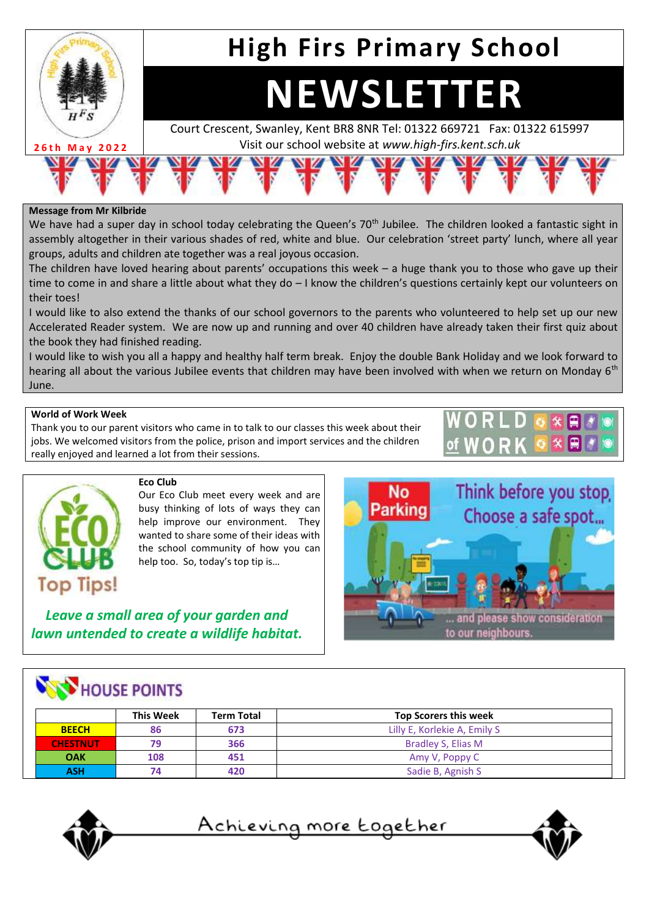

## **Message from Mr Kilbride**

We have had a super day in school today celebrating the Queen's 70<sup>th</sup> Jubilee. The children looked a fantastic sight in assembly altogether in their various shades of red, white and blue. Our celebration 'street party' lunch, where all year groups, adults and children ate together was a real joyous occasion.

The children have loved hearing about parents' occupations this week – a huge thank you to those who gave up their time to come in and share a little about what they do – I know the children's questions certainly kept our volunteers on their toes!

I would like to also extend the thanks of our school governors to the parents who volunteered to help set up our new Accelerated Reader system. We are now up and running and over 40 children have already taken their first quiz about the book they had finished reading.

I would like to wish you all a happy and healthy half term break. Enjoy the double Bank Holiday and we look forward to hearing all about the various Jubilee events that children may have been involved with when we return on Monday 6<sup>th</sup> June.

## **World of Work Week**

Thank you to our parent visitors who came in to talk to our classes this week about their jobs. We welcomed visitors from the police, prison and import services and the children really enjoyed and learned a lot from their sessions.





#### **Eco Club**

Our Eco Club meet every week and are busy thinking of lots of ways they can help improve our environment. They wanted to share some of their ideas with the school community of how you can help too. So, today's top tip is…

*Leave a small area of your garden and lawn untended to create a wildlife habitat.*



# **NEW HOUSE POINTS**

|                 | <b>This Week</b> | <b>Term Total</b> | <b>Top Scorers this week</b> |
|-----------------|------------------|-------------------|------------------------------|
| <b>BEECH</b>    | 86               | 673               | Lilly E, Korlekie A, Emily S |
| <b>CHESTNUT</b> | 79               | 366               | Bradley S, Elias M           |
| <b>OAK</b>      | 108              | 451               | Amy V, Poppy C               |
| <b>ASH</b>      | 74               | 420               | Sadie B, Agnish S            |



<u>Achieving more together</u>

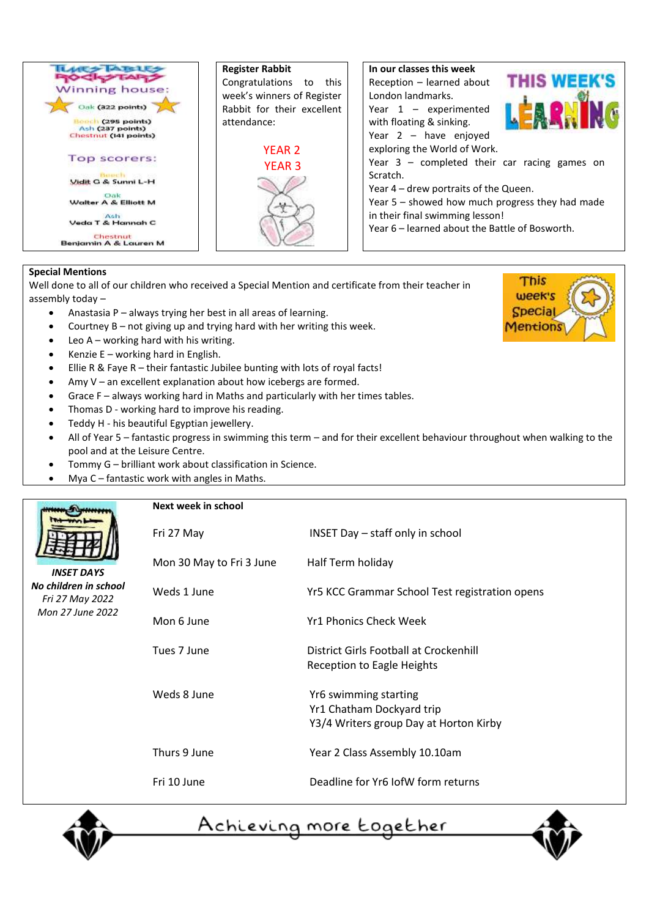

### **Special Mentions**

Well done to all of our children who received a Special Mention and certificate from their teacher in assembly today –

- Anastasia P always trying her best in all areas of learning.
- Courtney B not giving up and trying hard with her writing this week.
- Leo  $A$  working hard with his writing.
- Kenzie  $E$  working hard in English.
- Ellie R & Faye R their fantastic Jubilee bunting with lots of royal facts!
- Amy  $V$  an excellent explanation about how icebergs are formed.
- Grace F always working hard in Maths and particularly with her times tables.
- Thomas D working hard to improve his reading.
- Teddy H his beautiful Egyptian jewellery.
- All of Year 5 fantastic progress in swimming this term and for their excellent behaviour throughout when walking to the pool and at the Leisure Centre.
- Tommy G brilliant work about classification in Science.
- Mya C fantastic work with angles in Maths.





<u>Achieving more together</u>